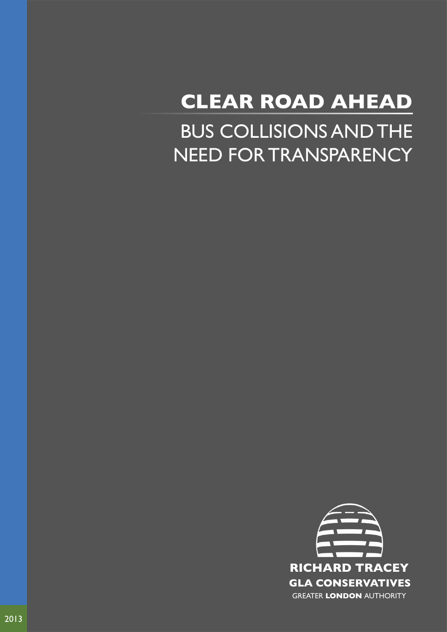## BUS COLLISIONS AND THE NEED FOR TRANSPARENCY **CLEAR ROAD AHEAD**

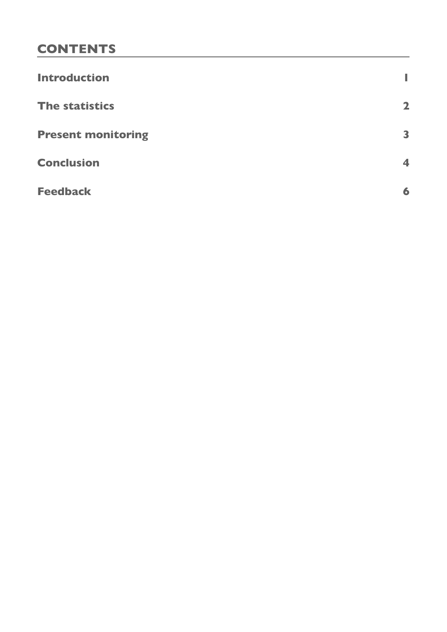### **CONTENTS**

| <b>Introduction</b>       | ı                    |
|---------------------------|----------------------|
| <b>The statistics</b>     | $\mathbf{2}$         |
| <b>Present monitoring</b> | 3                    |
| <b>Conclusion</b>         | $\blacktriangleleft$ |
| <b>Feedback</b>           | 6                    |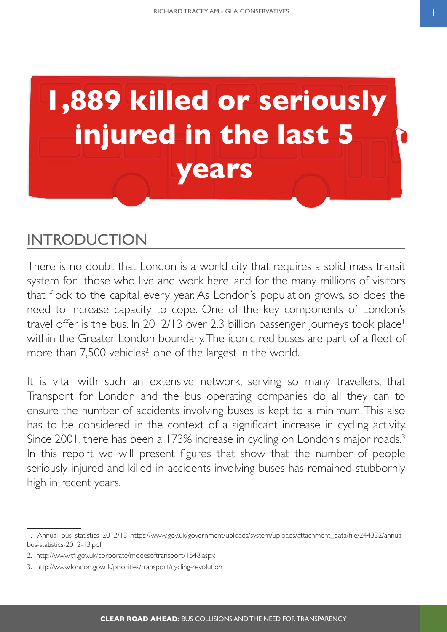<span id="page-2-0"></span>

## **INTRODUCTION**

There is no doubt that London is a world city that requires a solid mass transit system for those who live and work here, and for the many millions of visitors that flock to the capital every year. As London's population grows, so does the need to increase capacity to cope. One of the key components of London's travel offer is the bus. In 2012/13 over 2.3 billion passenger journeys took place<sup>1</sup> within the Greater London boundary. The iconic red buses are part of a fleet of more than  $7,500$  vehicles<sup>2</sup>, one of the largest in the world.

It is vital with such an extensive network, serving so many travellers, that Transport for London and the bus operating companies do all they can to ensure the number of accidents involving buses is kept to a minimum. This also has to be considered in the context of a significant increase in cycling activity. Since 2001, there has been a 173% increase in cycling on London's major roads.<sup>3</sup> In this report we will present figures that show that the number of people seriously injured and killed in accidents involving buses has remained stubbornly high in recent years.

<sup>1.</sup> Annual bus statistics 2012/13 https://www.gov.uk/government/uploads/system/uploads/attachment\_data/file/244332/annualbus-statistics-2012-13.pdf

<sup>2.</sup> http://www.tfl.gov.uk/corporate/modesoftransport/1548.aspx

<sup>3.</sup> http://www.london.gov.uk/priorities/transport/cycling-revolution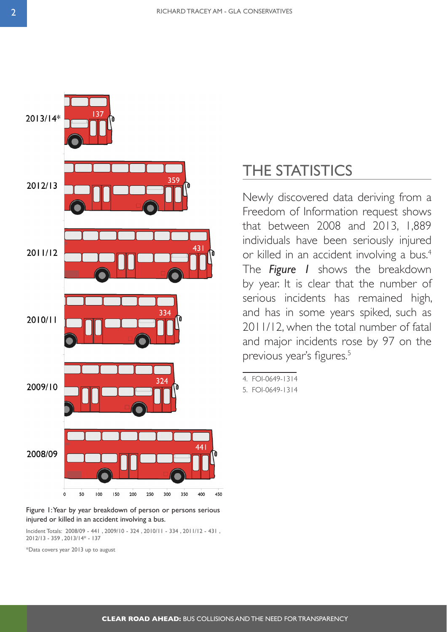<span id="page-3-0"></span>

Figure 1: Year by year breakdown of person or persons serious injured or killed in an accident involving a bus.

Incident Totals: 2008/09 - 441 , 2009/10 - 324 , 2010/11 - 334 , 2011/12 - 431 , 2012/13 - 359 , 2013/14\* - 137

\*Data covers year 2013 up to august

## THE STATISTICS

Newly discovered data deriving from a Freedom of Information request shows that between 2008 and 2013, 1,889 individuals have been seriously injured or killed in an accident involving a bus.<sup>4</sup> The *Figure 1* shows the breakdown by year. It is clear that the number of serious incidents has remained high, and has in some years spiked, such as 2011/12, when the total number of fatal and major incidents rose by 97 on the previous year's figures.<sup>5</sup>

4.    FOI-0649-1314

5.    FOI-0649-1314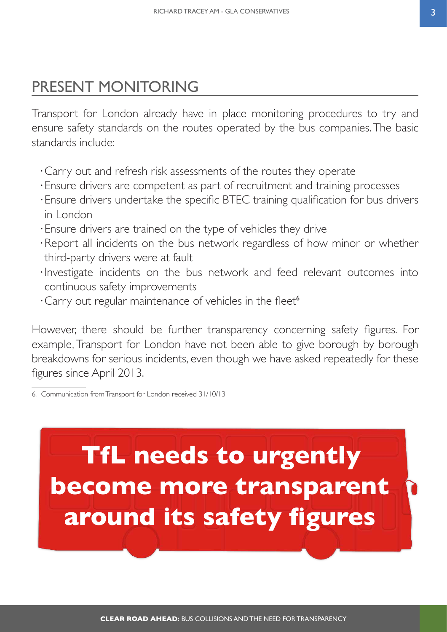## <span id="page-4-0"></span>PRESENT MONITORING

Transport for London already have in place monitoring procedures to try and ensure safety standards on the routes operated by the bus companies. The basic standards include:

- ⋅Carry out and refresh risk assessments of the routes they operate
- ⋅Ensure drivers are competent as part of recruitment and training processes
- ⋅Ensure drivers undertake the specific BTEC training qualification for bus drivers in London
- ⋅Ensure drivers are trained on the type of vehicles they drive
- ⋅Report all incidents on the bus network regardless of how minor or whether third-party drivers were at fault
- ⋅Investigate incidents on the bus network and feed relevant outcomes into continuous safety improvements
- ⋅Carry out regular maintenance of vehicles in the fleet<sup>6</sup>

However, there should be further transparency concerning safety figures. For example, Transport for London have not been able to give borough by borough breakdowns for serious incidents, even though we have asked repeatedly for these figures since April 2013.

# **TfL needs to urgently become more transparent around its safety figures**

<sup>6.</sup> Communication from Transport for London received 31/10/13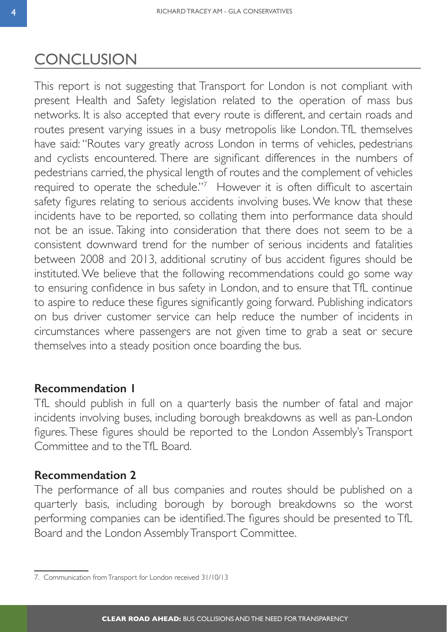## <span id="page-5-0"></span>**CONCLUSION**

This report is not suggesting that Transport for London is not compliant with present Health and Safety legislation related to the operation of mass bus networks. It is also accepted that every route is different, and certain roads and routes present varying issues in a busy metropolis like London. TfL themselves have said: "Routes vary greatly across London in terms of vehicles, pedestrians and cyclists encountered. There are significant differences in the numbers of pedestrians carried, the physical length of routes and the complement of vehicles required to operate the schedule."<sup>7</sup> However it is often difficult to ascertain safety figures relating to serious accidents involving buses. We know that these incidents have to be reported, so collating them into performance data should not be an issue. Taking into consideration that there does not seem to be a consistent downward trend for the number of serious incidents and fatalities between 2008 and 2013, additional scrutiny of bus accident figures should be instituted. We believe that the following recommendations could go some way to ensuring confidence in bus safety in London, and to ensure that TfL continue to aspire to reduce these figures significantly going forward. Publishing indicators on bus driver customer service can help reduce the number of incidents in circumstances where passengers are not given time to grab a seat or secure themselves into a steady position once boarding the bus.

### **Recommendation 1**

TfL should publish in full on a quarterly basis the number of fatal and major incidents involving buses, including borough breakdowns as well as pan-London figures. These figures should be reported to the London Assembly's Transport Committee and to the TfL Board.

### **Recommendation 2**

The performance of all bus companies and routes should be published on a quarterly basis, including borough by borough breakdowns so the worst performing companies can be identified. The figures should be presented to TfL Board and the London Assembly Transport Committee.

<sup>7.</sup> Communication from Transport for London received 31/10/13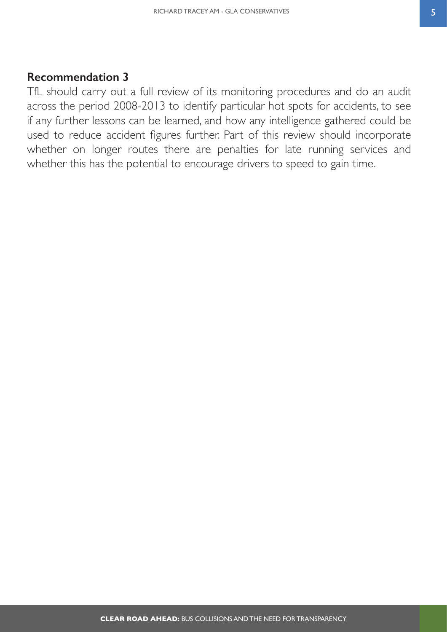### **Recommendation 3**

TfL should carry out a full review of its monitoring procedures and do an audit across the period 2008-2013 to identify particular hot spots for accidents, to see if any further lessons can be learned, and how any intelligence gathered could be used to reduce accident figures further. Part of this review should incorporate whether on longer routes there are penalties for late running services and whether this has the potential to encourage drivers to speed to gain time.